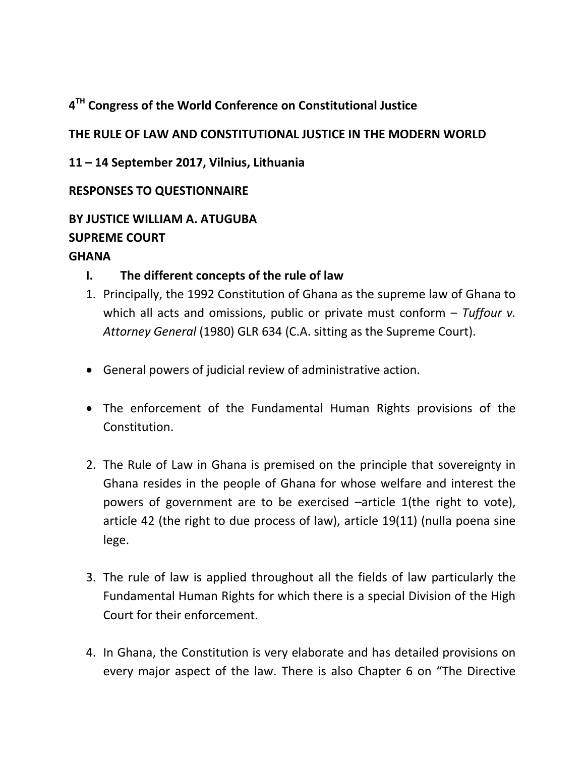# **4 TH Congress of the World Conference on Constitutional Justice**

# **THE RULE OF LAW AND CONSTITUTIONAL JUSTICE IN THE MODERN WORLD**

**11 – 14 September 2017, Vilnius, Lithuania**

### **RESPONSES TO QUESTIONNAIRE**

# **BY JUSTICE WILLIAM A. ATUGUBA SUPREME COURT**

### **GHANA**

## **I. The different concepts of the rule of law**

- 1. Principally, the 1992 Constitution of Ghana as the supreme law of Ghana to which all acts and omissions, public or private must conform – *Tuffour v. Attorney General* (1980) GLR 634 (C.A. sitting as the Supreme Court).
- General powers of judicial review of administrative action.
- The enforcement of the Fundamental Human Rights provisions of the Constitution.
- 2. The Rule of Law in Ghana is premised on the principle that sovereignty in Ghana resides in the people of Ghana for whose welfare and interest the powers of government are to be exercised –article 1(the right to vote), article 42 (the right to due process of law), article 19(11) (nulla poena sine lege.
- 3. The rule of law is applied throughout all the fields of law particularly the Fundamental Human Rights for which there is a special Division of the High Court for their enforcement.
- 4. In Ghana, the Constitution is very elaborate and has detailed provisions on every major aspect of the law. There is also Chapter 6 on "The Directive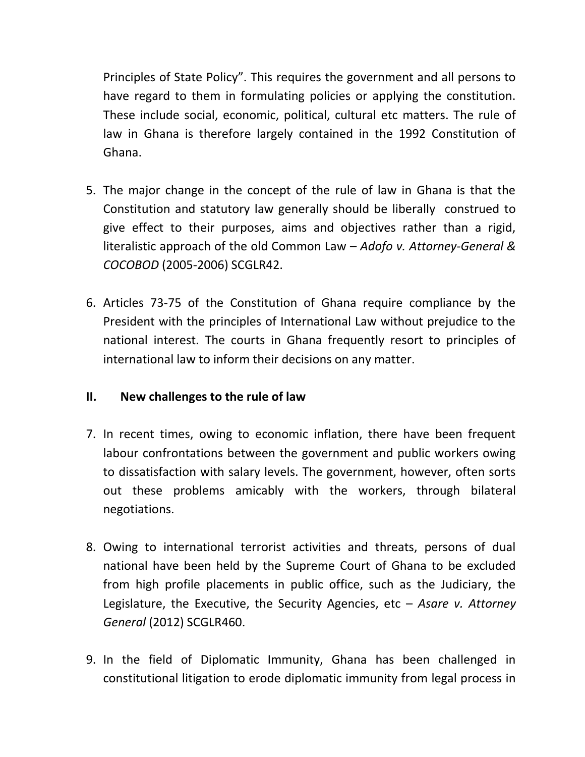Principles of State Policy". This requires the government and all persons to have regard to them in formulating policies or applying the constitution. These include social, economic, political, cultural etc matters. The rule of law in Ghana is therefore largely contained in the 1992 Constitution of Ghana.

- 5. The major change in the concept of the rule of law in Ghana is that the Constitution and statutory law generally should be liberally construed to give effect to their purposes, aims and objectives rather than a rigid, literalistic approach of the old Common Law – *Adofo v. Attorney-General & COCOBOD* (2005-2006) SCGLR42.
- 6. Articles 73-75 of the Constitution of Ghana require compliance by the President with the principles of International Law without prejudice to the national interest. The courts in Ghana frequently resort to principles of international law to inform their decisions on any matter.

#### **II. New challenges to the rule of law**

- 7. In recent times, owing to economic inflation, there have been frequent labour confrontations between the government and public workers owing to dissatisfaction with salary levels. The government, however, often sorts out these problems amicably with the workers, through bilateral negotiations.
- 8. Owing to international terrorist activities and threats, persons of dual national have been held by the Supreme Court of Ghana to be excluded from high profile placements in public office, such as the Judiciary, the Legislature, the Executive, the Security Agencies, etc – *Asare v. Attorney General* (2012) SCGLR460.
- 9. In the field of Diplomatic Immunity, Ghana has been challenged in constitutional litigation to erode diplomatic immunity from legal process in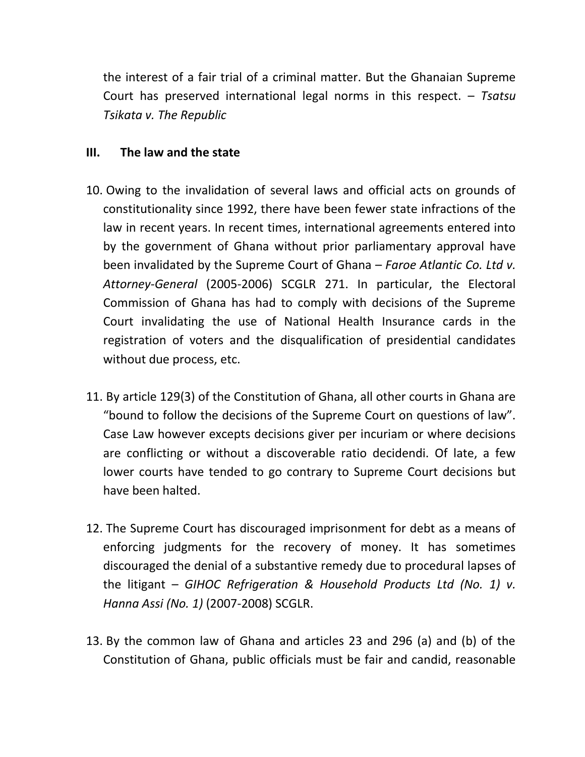the interest of a fair trial of a criminal matter. But the Ghanaian Supreme Court has preserved international legal norms in this respect. – *Tsatsu Tsikata v. The Republic*

#### **III. The law and the state**

- 10. Owing to the invalidation of several laws and official acts on grounds of constitutionality since 1992, there have been fewer state infractions of the law in recent years. In recent times, international agreements entered into by the government of Ghana without prior parliamentary approval have been invalidated by the Supreme Court of Ghana – *Faroe Atlantic Co. Ltd v. Attorney-General* (2005-2006) SCGLR 271. In particular, the Electoral Commission of Ghana has had to comply with decisions of the Supreme Court invalidating the use of National Health Insurance cards in the registration of voters and the disqualification of presidential candidates without due process, etc.
- 11. By article 129(3) of the Constitution of Ghana, all other courts in Ghana are "bound to follow the decisions of the Supreme Court on questions of law". Case Law however excepts decisions giver per incuriam or where decisions are conflicting or without a discoverable ratio decidendi. Of late, a few lower courts have tended to go contrary to Supreme Court decisions but have been halted.
- 12. The Supreme Court has discouraged imprisonment for debt as a means of enforcing judgments for the recovery of money. It has sometimes discouraged the denial of a substantive remedy due to procedural lapses of the litigant – *GIHOC Refrigeration & Household Products Ltd (No. 1) v. Hanna Assi (No. 1)* (2007-2008) SCGLR.
- 13. By the common law of Ghana and articles 23 and 296 (a) and (b) of the Constitution of Ghana, public officials must be fair and candid, reasonable